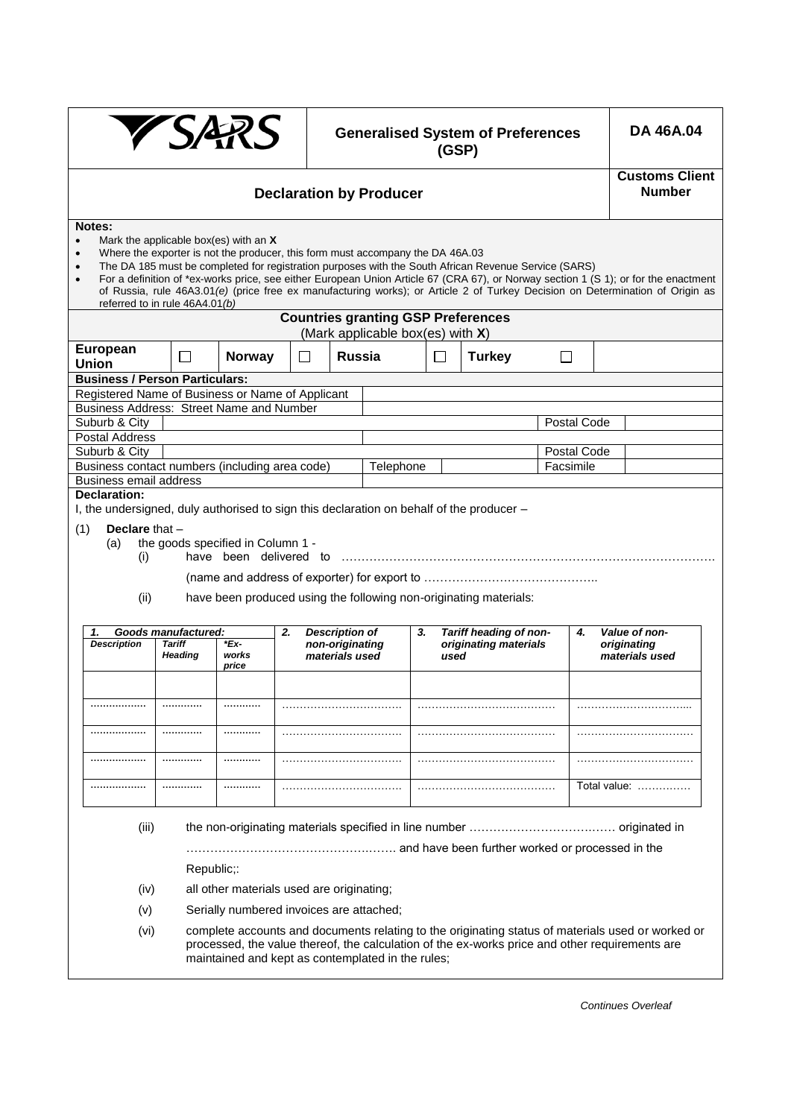|                                                                                              | <b>YSAR</b><br><b>Generalised System of Preferences</b><br>(GSP)         |                                         |                                                                                                     |                                                                                |                               |  |                                                                                                      |             | <b>DA 46A.04</b> |                                                                                                                                                                                                                                                                      |  |
|----------------------------------------------------------------------------------------------|--------------------------------------------------------------------------|-----------------------------------------|-----------------------------------------------------------------------------------------------------|--------------------------------------------------------------------------------|-------------------------------|--|------------------------------------------------------------------------------------------------------|-------------|------------------|----------------------------------------------------------------------------------------------------------------------------------------------------------------------------------------------------------------------------------------------------------------------|--|
| <b>Declaration by Producer</b>                                                               |                                                                          |                                         |                                                                                                     |                                                                                |                               |  |                                                                                                      |             |                  | <b>Customs Client</b><br><b>Number</b>                                                                                                                                                                                                                               |  |
| Notes:<br>$\bullet$<br>$\bullet$<br>$\bullet$                                                | referred to in rule 46A4.01(b)                                           | Mark the applicable box(es) with an $X$ |                                                                                                     | Where the exporter is not the producer, this form must accompany the DA 46A.03 |                               |  | The DA 185 must be completed for registration purposes with the South African Revenue Service (SARS) |             |                  | For a definition of *ex-works price, see either European Union Article 67 (CRA 67), or Norway section 1 (S 1); or for the enactment<br>of Russia, rule 46A3.01(e) (price free ex manufacturing works); or Article 2 of Turkey Decision on Determination of Origin as |  |
|                                                                                              |                                                                          |                                         |                                                                                                     | <b>Countries granting GSP Preferences</b>                                      |                               |  |                                                                                                      |             |                  |                                                                                                                                                                                                                                                                      |  |
| <b>European</b><br><b>Union</b>                                                              | П                                                                        | <b>Norway</b>                           | (Mark applicable box(es) with X)<br><b>Russia</b><br>П<br><b>Turkey</b><br>$\blacksquare$<br>$\Box$ |                                                                                |                               |  |                                                                                                      |             |                  |                                                                                                                                                                                                                                                                      |  |
| <b>Business / Person Particulars:</b>                                                        |                                                                          |                                         |                                                                                                     |                                                                                |                               |  |                                                                                                      |             |                  |                                                                                                                                                                                                                                                                      |  |
| Registered Name of Business or Name of Applicant<br>Business Address: Street Name and Number |                                                                          |                                         |                                                                                                     |                                                                                |                               |  |                                                                                                      |             |                  |                                                                                                                                                                                                                                                                      |  |
| Suburb & City                                                                                |                                                                          |                                         |                                                                                                     |                                                                                |                               |  |                                                                                                      | Postal Code |                  |                                                                                                                                                                                                                                                                      |  |
| <b>Postal Address</b>                                                                        |                                                                          |                                         |                                                                                                     |                                                                                |                               |  |                                                                                                      |             |                  |                                                                                                                                                                                                                                                                      |  |
| Suburb & City                                                                                | Postal Code                                                              |                                         |                                                                                                     |                                                                                |                               |  |                                                                                                      |             |                  |                                                                                                                                                                                                                                                                      |  |
|                                                                                              | Business contact numbers (including area code)<br>Telephone<br>Facsimile |                                         |                                                                                                     |                                                                                |                               |  |                                                                                                      |             |                  |                                                                                                                                                                                                                                                                      |  |
| <b>Business email address</b><br>Declaration:                                                |                                                                          |                                         |                                                                                                     |                                                                                |                               |  |                                                                                                      |             |                  |                                                                                                                                                                                                                                                                      |  |
| I, the undersigned, duly authorised to sign this declaration on behalf of the producer -     |                                                                          |                                         |                                                                                                     |                                                                                |                               |  |                                                                                                      |             |                  |                                                                                                                                                                                                                                                                      |  |
| Declare that $-$<br>(1)                                                                      |                                                                          |                                         |                                                                                                     |                                                                                |                               |  |                                                                                                      |             |                  |                                                                                                                                                                                                                                                                      |  |
| the goods specified in Column 1 -<br>(a)                                                     |                                                                          |                                         |                                                                                                     |                                                                                |                               |  |                                                                                                      |             |                  |                                                                                                                                                                                                                                                                      |  |
| (i)                                                                                          |                                                                          | have been delivered to                  |                                                                                                     |                                                                                |                               |  |                                                                                                      |             |                  |                                                                                                                                                                                                                                                                      |  |
|                                                                                              |                                                                          |                                         |                                                                                                     |                                                                                |                               |  |                                                                                                      |             |                  |                                                                                                                                                                                                                                                                      |  |
| (ii)                                                                                         |                                                                          |                                         |                                                                                                     |                                                                                |                               |  | have been produced using the following non-originating materials:                                    |             |                  |                                                                                                                                                                                                                                                                      |  |
| Goods manufactured:<br>1.                                                                    |                                                                          |                                         | 2.                                                                                                  | <b>Description of</b>                                                          | 3.                            |  | Tariff heading of non-                                                                               | 4.          |                  | Value of non-                                                                                                                                                                                                                                                        |  |
| <b>Description</b>                                                                           | <b>Tariff</b><br><b>Heading</b>                                          | $Ex$ -<br>works<br>price                |                                                                                                     | non-originating<br>materials used                                              | originating materials<br>used |  |                                                                                                      |             |                  | originating<br>materials used                                                                                                                                                                                                                                        |  |
|                                                                                              |                                                                          |                                         |                                                                                                     |                                                                                |                               |  |                                                                                                      |             |                  |                                                                                                                                                                                                                                                                      |  |
|                                                                                              |                                                                          |                                         |                                                                                                     |                                                                                |                               |  |                                                                                                      |             |                  |                                                                                                                                                                                                                                                                      |  |
|                                                                                              |                                                                          |                                         |                                                                                                     |                                                                                |                               |  |                                                                                                      |             |                  |                                                                                                                                                                                                                                                                      |  |
|                                                                                              |                                                                          |                                         |                                                                                                     |                                                                                |                               |  |                                                                                                      |             |                  |                                                                                                                                                                                                                                                                      |  |
|                                                                                              |                                                                          |                                         |                                                                                                     |                                                                                |                               |  |                                                                                                      |             |                  | Total value:                                                                                                                                                                                                                                                         |  |
| (iii)                                                                                        |                                                                          |                                         |                                                                                                     |                                                                                |                               |  |                                                                                                      |             |                  |                                                                                                                                                                                                                                                                      |  |
|                                                                                              | Republic;:                                                               |                                         |                                                                                                     |                                                                                |                               |  |                                                                                                      |             |                  |                                                                                                                                                                                                                                                                      |  |
| (iv)                                                                                         |                                                                          |                                         |                                                                                                     | all other materials used are originating;                                      |                               |  |                                                                                                      |             |                  |                                                                                                                                                                                                                                                                      |  |
|                                                                                              |                                                                          |                                         |                                                                                                     |                                                                                |                               |  |                                                                                                      |             |                  |                                                                                                                                                                                                                                                                      |  |
|                                                                                              | Serially numbered invoices are attached;<br>(v)                          |                                         |                                                                                                     |                                                                                |                               |  |                                                                                                      |             |                  |                                                                                                                                                                                                                                                                      |  |
| (vi)                                                                                         |                                                                          |                                         |                                                                                                     | maintained and kept as contemplated in the rules;                              |                               |  | processed, the value thereof, the calculation of the ex-works price and other requirements are       |             |                  | complete accounts and documents relating to the originating status of materials used or worked or                                                                                                                                                                    |  |